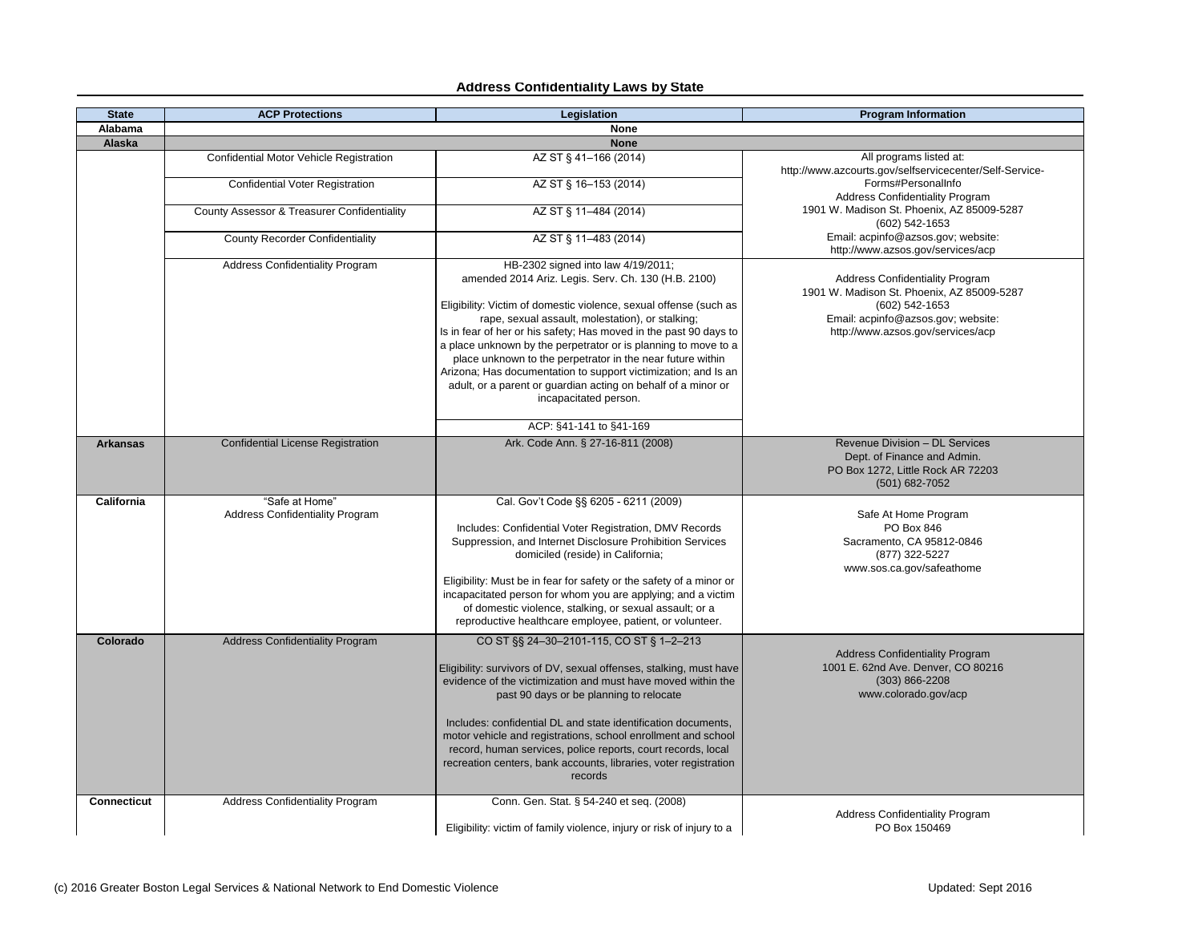| <b>State</b>       | <b>ACP Protections</b>                                   | <b>Legislation</b>                                                                                                                                                                                                                                                                                                                                                                                                                                                                                         | <b>Program Information</b>                                                                                                                                                          |
|--------------------|----------------------------------------------------------|------------------------------------------------------------------------------------------------------------------------------------------------------------------------------------------------------------------------------------------------------------------------------------------------------------------------------------------------------------------------------------------------------------------------------------------------------------------------------------------------------------|-------------------------------------------------------------------------------------------------------------------------------------------------------------------------------------|
| <b>Alabama</b>     |                                                          | <b>None</b>                                                                                                                                                                                                                                                                                                                                                                                                                                                                                                |                                                                                                                                                                                     |
| <b>Alaska</b>      |                                                          | <b>None</b>                                                                                                                                                                                                                                                                                                                                                                                                                                                                                                |                                                                                                                                                                                     |
|                    | Confidential Motor Vehicle Registration                  | AZ ST § 41-166 (2014)                                                                                                                                                                                                                                                                                                                                                                                                                                                                                      | All programs listed at:<br>http://www.azcourts.gov/selfservicecenter/Self-Service-                                                                                                  |
|                    | <b>Confidential Voter Registration</b>                   | AZ ST § 16-153 (2014)                                                                                                                                                                                                                                                                                                                                                                                                                                                                                      | Forms#PersonalInfo<br><b>Address Confidentiality Program</b>                                                                                                                        |
|                    | <b>County Assessor &amp; Treasurer Confidentiality</b>   | AZ ST § 11-484 (2014)                                                                                                                                                                                                                                                                                                                                                                                                                                                                                      | 1901 W. Madison St. Phoenix, AZ 85009-5287<br>(602) 542-1653                                                                                                                        |
|                    | <b>County Recorder Confidentiality</b>                   | AZ ST § 11-483 (2014)                                                                                                                                                                                                                                                                                                                                                                                                                                                                                      | Email: acpinfo@azsos.gov; website:<br>http://www.azsos.gov/services/acp                                                                                                             |
|                    | <b>Address Confidentiality Program</b>                   | HB-2302 signed into law 4/19/2011;<br>amended 2014 Ariz. Legis. Serv. Ch. 130 (H.B. 2100)<br>Eligibility: Victim of domestic violence, sexual offense (such as<br>rape, sexual assault, molestation), or stalking;<br>Is in fear of her or his safety; Has moved in the past 90 days to                                                                                                                                                                                                                    | <b>Address Confidentiality Program</b><br>1901 W. Madison St. Phoenix, AZ 85009-5287<br>$(602)$ 542-1653<br>Email: acpinfo@azsos.gov; website:<br>http://www.azsos.gov/services/acp |
|                    |                                                          | a place unknown by the perpetrator or is planning to move to a<br>place unknown to the perpetrator in the near future within<br>Arizona; Has documentation to support victimization; and Is an<br>adult, or a parent or guardian acting on behalf of a minor or<br>incapacitated person.                                                                                                                                                                                                                   |                                                                                                                                                                                     |
|                    |                                                          | ACP: §41-141 to §41-169                                                                                                                                                                                                                                                                                                                                                                                                                                                                                    |                                                                                                                                                                                     |
| <b>Arkansas</b>    | <b>Confidential License Registration</b>                 | Ark. Code Ann. § 27-16-811 (2008)                                                                                                                                                                                                                                                                                                                                                                                                                                                                          | <b>Revenue Division - DL Services</b><br>Dept. of Finance and Admin.<br>PO Box 1272, Little Rock AR 72203<br>$(501)$ 682-7052                                                       |
| <b>California</b>  | "Safe at Home"<br><b>Address Confidentiality Program</b> | Cal. Gov't Code §§ 6205 - 6211 (2009)<br>Includes: Confidential Voter Registration, DMV Records<br>Suppression, and Internet Disclosure Prohibition Services<br>domiciled (reside) in California;<br>Eligibility: Must be in fear for safety or the safety of a minor or<br>incapacitated person for whom you are applying; and a victim<br>of domestic violence, stalking, or sexual assault; or a<br>reproductive healthcare employee, patient, or volunteer.                                            | Safe At Home Program<br>PO Box 846<br>Sacramento, CA 95812-0846<br>(877) 322-5227<br>www.sos.ca.gov/safeathome                                                                      |
| Colorado           | <b>Address Confidentiality Program</b>                   | CO ST §§ 24-30-2101-115, CO ST § 1-2-213<br>Eligibility: survivors of DV, sexual offenses, stalking, must have<br>evidence of the victimization and must have moved within the<br>past 90 days or be planning to relocate<br>Includes: confidential DL and state identification documents,<br>motor vehicle and registrations, school enrollment and school<br>record, human services, police reports, court records, local<br>recreation centers, bank accounts, libraries, voter registration<br>records | <b>Address Confidentiality Program</b><br>1001 E. 62nd Ave. Denver, CO 80216<br>$(303) 866 - 2208$<br>www.colorado.gov/acp                                                          |
| <b>Connecticut</b> | <b>Address Confidentiality Program</b>                   | Conn. Gen. Stat. § 54-240 et seq. (2008)<br>Eligibility: victim of family violence, injury or risk of injury to a                                                                                                                                                                                                                                                                                                                                                                                          | <b>Address Confidentiality Program</b><br>PO Box 150469                                                                                                                             |

## **Address Confidentiality Laws by State**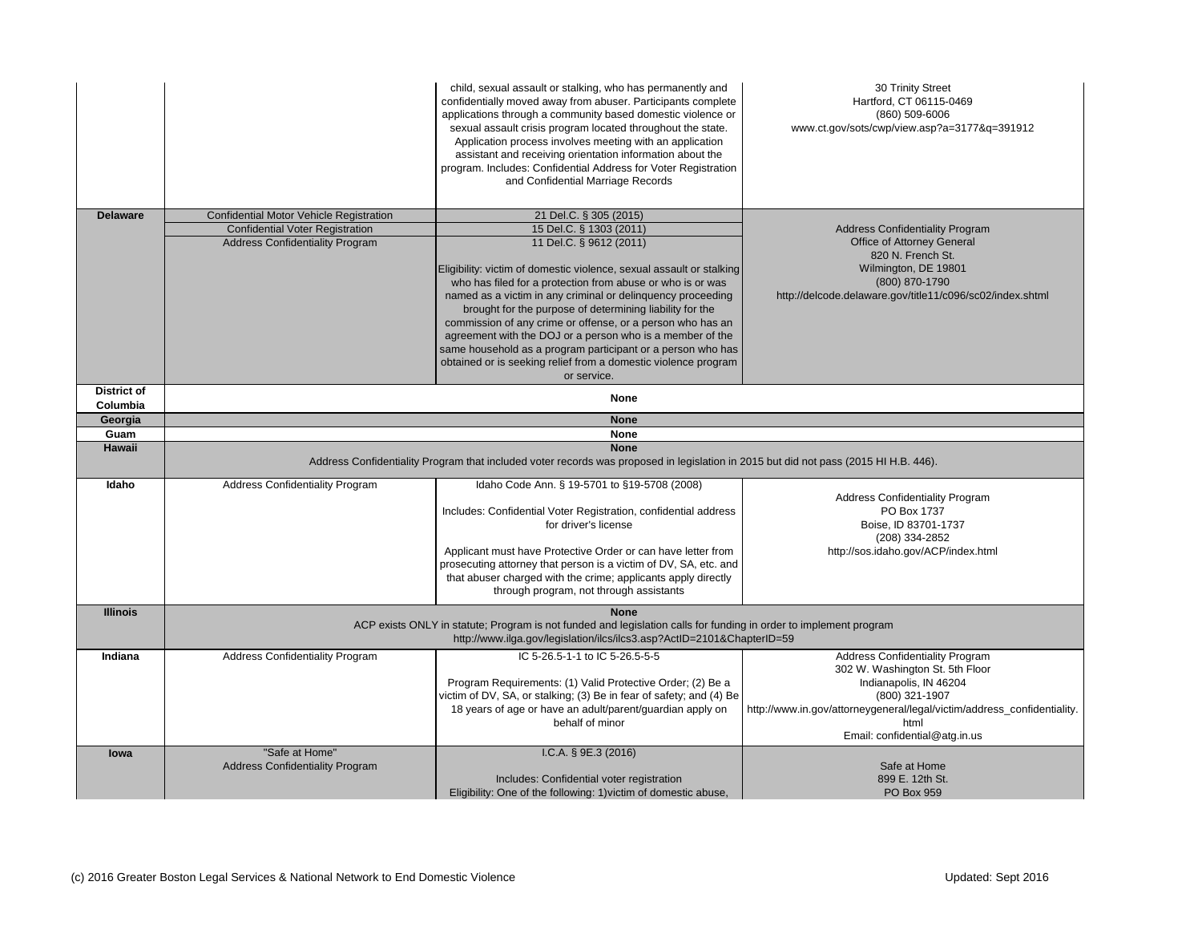30 Trinity Street tford, CT 06115-0469 (860) 509-6006 /cwp/view.asp?a=3177&q=391912

Address Confidentiality Program Office of Attorney General 820 N. French St. mington, DE 19801  $(800) 870-1790$ are.gov/title11/c096/sc02/index.shtml

HI H.B. 446).

**Confidentiality Program** PO Box 1737 Boise, ID 83701-1737 (208) 334-2852 .idaho.gov/ACP/index.html

Gonfidentiality Program Washington St. 5th Floor lianapolis, IN 46204 (800) 321-1907 yeneral/legal/victim/address\_confidentiality. html confidential@atg.in.us

|                       |                                         | child, sexual assault or stalking, who has permanently and<br>confidentially moved away from abuser. Participants complete<br>applications through a community based domestic violence or<br>sexual assault crisis program located throughout the state.<br>Application process involves meeting with an application<br>assistant and receiving orientation information about the<br>program. Includes: Confidential Address for Voter Registration<br>and Confidential Marriage Records                                                                            | $30 -$<br>Hartford<br>(86)<br>www.ct.gov/sots/cwp/                                |
|-----------------------|-----------------------------------------|---------------------------------------------------------------------------------------------------------------------------------------------------------------------------------------------------------------------------------------------------------------------------------------------------------------------------------------------------------------------------------------------------------------------------------------------------------------------------------------------------------------------------------------------------------------------|-----------------------------------------------------------------------------------|
| <b>Delaware</b>       | Confidential Motor Vehicle Registration | 21 Del.C. § 305 (2015)                                                                                                                                                                                                                                                                                                                                                                                                                                                                                                                                              |                                                                                   |
|                       | <b>Confidential Voter Registration</b>  | 15 Del.C. § 1303 (2011)                                                                                                                                                                                                                                                                                                                                                                                                                                                                                                                                             | <b>Address Co</b>                                                                 |
|                       | <b>Address Confidentiality Program</b>  | 11 Del.C. § 9612 (2011)<br>Eligibility: victim of domestic violence, sexual assault or stalking<br>who has filed for a protection from abuse or who is or was<br>named as a victim in any criminal or delinquency proceeding<br>brought for the purpose of determining liability for the<br>commission of any crime or offense, or a person who has an<br>agreement with the DOJ or a person who is a member of the<br>same household as a program participant or a person who has<br>obtained or is seeking relief from a domestic violence program<br>or service. | Office of<br>820<br>Wilmin<br>(80)<br>http://delcode.delaware.g                   |
| <b>District of</b>    |                                         | <b>None</b>                                                                                                                                                                                                                                                                                                                                                                                                                                                                                                                                                         |                                                                                   |
| Columbia              |                                         |                                                                                                                                                                                                                                                                                                                                                                                                                                                                                                                                                                     |                                                                                   |
| Georgia               |                                         | <b>None</b>                                                                                                                                                                                                                                                                                                                                                                                                                                                                                                                                                         |                                                                                   |
| Guam<br><b>Hawaii</b> |                                         | <b>None</b><br><b>None</b>                                                                                                                                                                                                                                                                                                                                                                                                                                                                                                                                          |                                                                                   |
|                       |                                         | Address Confidentiality Program that included voter records was proposed in legislation in 2015 but did not pass (2015 HI H                                                                                                                                                                                                                                                                                                                                                                                                                                         |                                                                                   |
| Idaho                 |                                         |                                                                                                                                                                                                                                                                                                                                                                                                                                                                                                                                                                     |                                                                                   |
|                       | <b>Address Confidentiality Program</b>  | Idaho Code Ann. § 19-5701 to §19-5708 (2008)<br>Includes: Confidential Voter Registration, confidential address<br>for driver's license                                                                                                                                                                                                                                                                                                                                                                                                                             |                                                                                   |
|                       |                                         | Applicant must have Protective Order or can have letter from<br>prosecuting attorney that person is a victim of DV, SA, etc. and<br>that abuser charged with the crime; applicants apply directly<br>through program, not through assistants                                                                                                                                                                                                                                                                                                                        |                                                                                   |
| <b>Illinois</b>       |                                         | <b>None</b><br>ACP exists ONLY in statute; Program is not funded and legislation calls for funding in order to implement program<br>http://www.ilga.gov/legislation/ilcs/ilcs3.asp?ActID=2101&ChapterID=59                                                                                                                                                                                                                                                                                                                                                          |                                                                                   |
| Indiana               | <b>Address Confidentiality Program</b>  | IC 5-26.5-1-1 to IC 5-26.5-5-5                                                                                                                                                                                                                                                                                                                                                                                                                                                                                                                                      | <b>Address Co</b><br>PC<br>Boise,<br>(20)<br>http://sos.idah<br><b>Address Co</b> |
|                       |                                         | Program Requirements: (1) Valid Protective Order; (2) Be a<br>victim of DV, SA, or stalking; (3) Be in fear of safety; and (4) Be<br>18 years of age or have an adult/parent/guardian apply on<br>behalf of minor                                                                                                                                                                                                                                                                                                                                                   |                                                                                   |
| lowa                  | "Safe at Home"                          | I.C.A. $\S$ 9E.3 (2016)                                                                                                                                                                                                                                                                                                                                                                                                                                                                                                                                             | 302 W. Was<br>Indiana<br>(80)<br>http://www.in.gov/attorneygene<br>Email: con     |

Safe at Home 899 E. 12th St. PO Box 959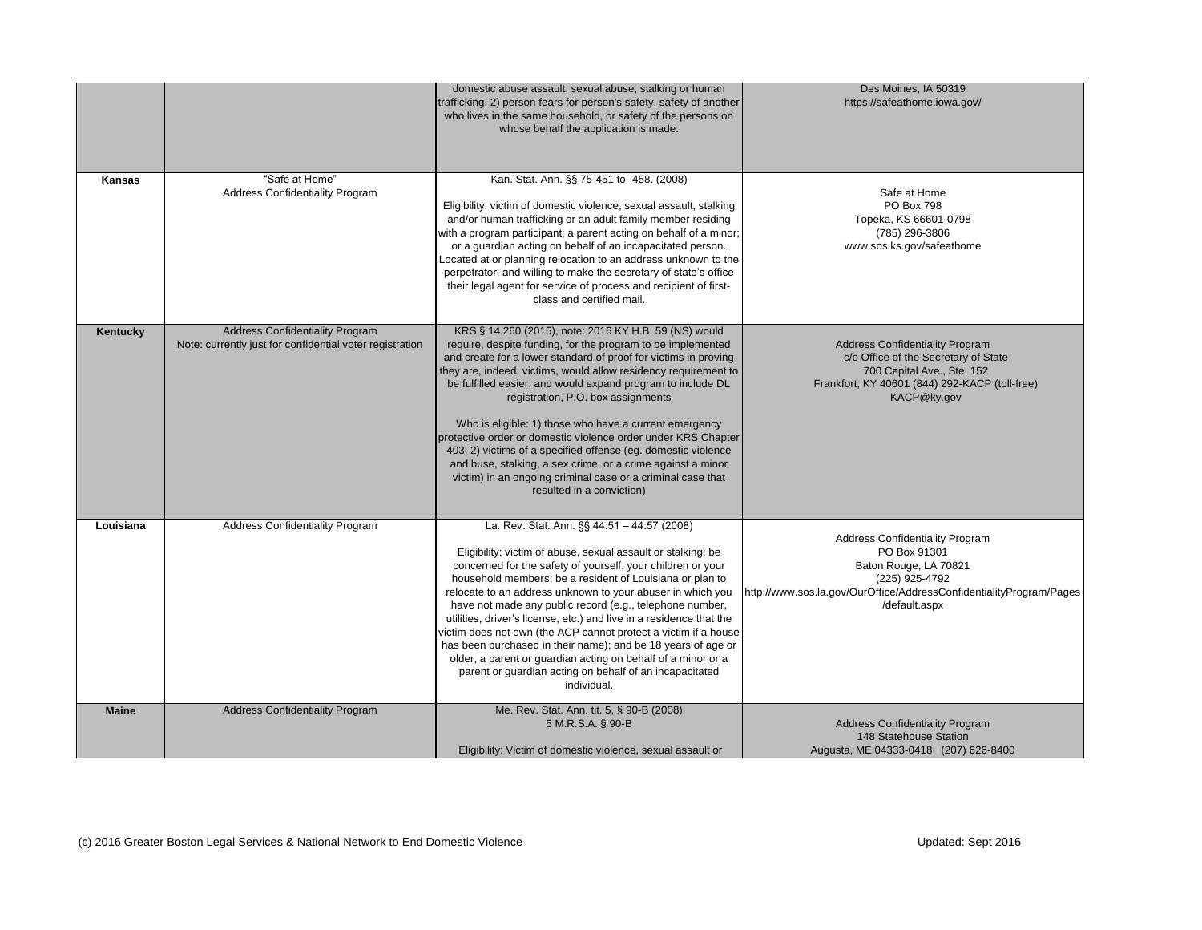Safe at Home PO Box 798 eka, KS 66601-0798 (785) 296-3806 sos.ks.gov/safeathome

s Confidentiality Program PO Box 91301 ton Rouge, LA 70821 (225) 925-4792  $N$ ffice/AddressConfidentialityProgram/Pages /default.aspx

|                 |                                                                                                    | domestic abuse assault, sexual abuse, stalking or human<br>trafficking, 2) person fears for person's safety, safety of another<br>who lives in the same household, or safety of the persons on<br>whose behalf the application is made.                                                                                                                                                                                                                                                                                                                                                                                                                                                                                | De<br>https:/                                       |
|-----------------|----------------------------------------------------------------------------------------------------|------------------------------------------------------------------------------------------------------------------------------------------------------------------------------------------------------------------------------------------------------------------------------------------------------------------------------------------------------------------------------------------------------------------------------------------------------------------------------------------------------------------------------------------------------------------------------------------------------------------------------------------------------------------------------------------------------------------------|-----------------------------------------------------|
| <b>Kansas</b>   | "Safe at Home"<br><b>Address Confidentiality Program</b>                                           | Kan. Stat. Ann. §§ 75-451 to -458. (2008)<br>Eligibility: victim of domestic violence, sexual assault, stalking<br>and/or human trafficking or an adult family member residing<br>with a program participant; a parent acting on behalf of a minor;<br>or a guardian acting on behalf of an incapacitated person.<br>Located at or planning relocation to an address unknown to the<br>perpetrator; and willing to make the secretary of state's office<br>their legal agent for service of process and recipient of first-<br>class and certified mail.                                                                                                                                                               | Top<br>www.s                                        |
| <b>Kentucky</b> | <b>Address Confidentiality Program</b><br>Note: currently just for confidential voter registration | KRS § 14.260 (2015), note: 2016 KY H.B. 59 (NS) would<br>require, despite funding, for the program to be implemented<br>and create for a lower standard of proof for victims in proving<br>they are, indeed, victims, would allow residency requirement to<br>be fulfilled easier, and would expand program to include DL<br>registration, P.O. box assignments<br>Who is eligible: 1) those who have a current emergency<br>protective order or domestic violence order under KRS Chapter<br>403, 2) victims of a specified offense (eg. domestic violence<br>and buse, stalking, a sex crime, or a crime against a minor<br>victim) in an ongoing criminal case or a criminal case that<br>resulted in a conviction) | Address<br>c/o Of<br>70<br>Frankfort, K             |
| Louisiana       | <b>Address Confidentiality Program</b>                                                             | La. Rev. Stat. Ann. §§ 44:51 - 44:57 (2008)<br>Eligibility: victim of abuse, sexual assault or stalking; be<br>concerned for the safety of yourself, your children or your<br>household members; be a resident of Louisiana or plan to<br>relocate to an address unknown to your abuser in which you<br>have not made any public record (e.g., telephone number,<br>utilities, driver's license, etc.) and live in a residence that the<br>victim does not own (the ACP cannot protect a victim if a house<br>has been purchased in their name); and be 18 years of age or<br>older, a parent or guardian acting on behalf of a minor or a<br>parent or guardian acting on behalf of an incapacitated<br>individual.   | Address<br><b>Bat</b><br>http://www.sos.la.gov/OurC |
| <b>Maine</b>    | <b>Address Confidentiality Program</b>                                                             | Me. Rev. Stat. Ann. tit. 5, § 90-B (2008)<br>5 M.R.S.A. § 90-B<br>Eligibility: Victim of domestic violence, sexual assault or                                                                                                                                                                                                                                                                                                                                                                                                                                                                                                                                                                                          | Address<br>148<br>Augusta, ME                       |

es Moines, IA 50319 //safeathome.iowa.gov/

s Confidentiality Program fice of the Secretary of State 00 Capital Ave., Ste. 152 Y 40601 (844) 292-KACP (toll-free) KACP@ky.gov

Address Confidentiality Program 148 Statehouse Station Augusta, ME 04333-0418 (207) 626-8400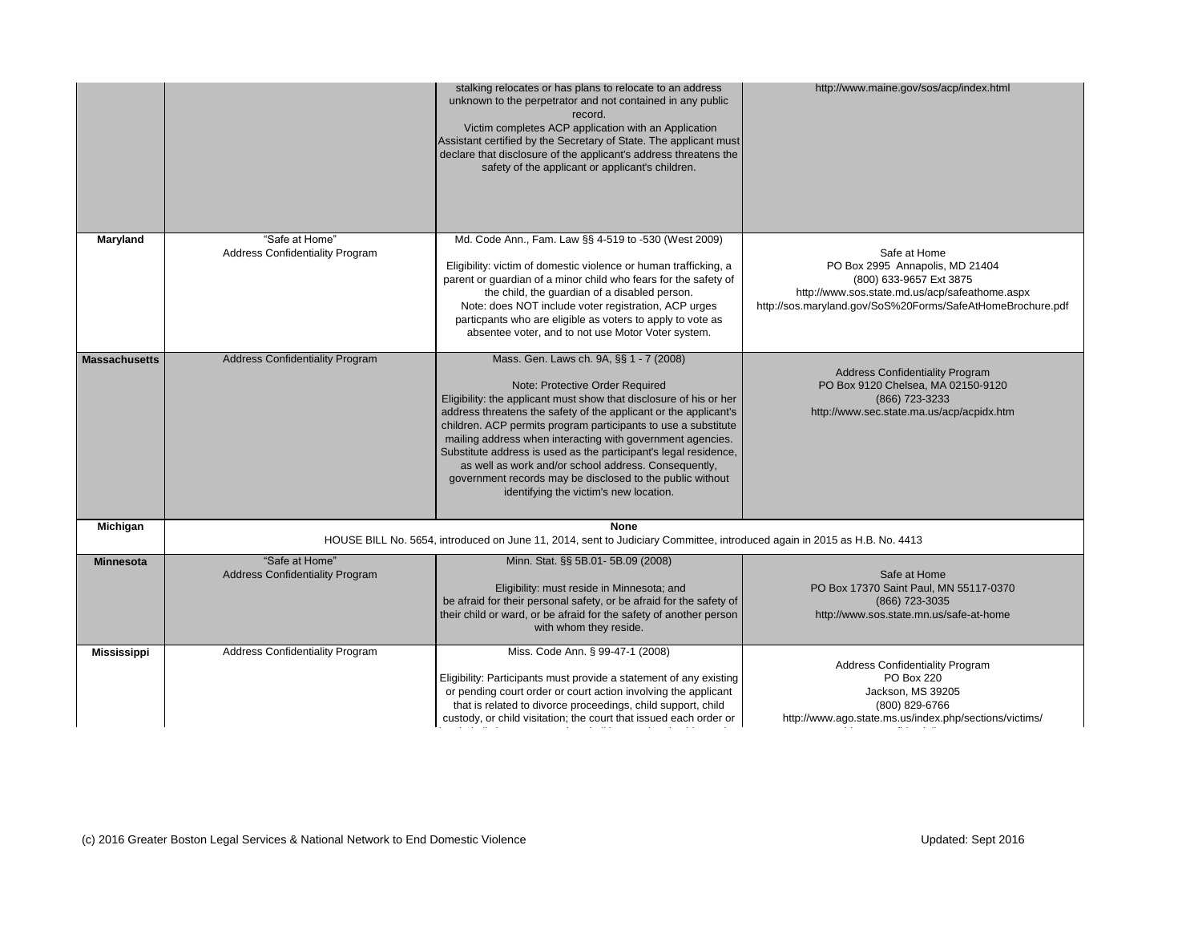Confidentiality Program PO Box 220 ackson, MS 39205 (800) 829-6766 http://www.ago.state.ms.us/index.php/sections/victims/

Safe at Home 995 Annapolis, MD 21404 (800) 633-9657 Ext 3875 state.md.us/acp/safeathome.aspx SoS%20Forms/SafeAtHomeBrochure.pdf Confidentiality Program 0 Chelsea, MA 02150-9120 (866) 723-3233 c.state.ma.us/acp/acpidx.htm haine.gov/sos/acp/index.html

Safe at Home 0 Saint Paul, MN 55117-0370 (866) 723-3035 os.state.mn.us/safe-at-home

|                      |                                                          | stalking relocates or has plans to relocate to an address<br>unknown to the perpetrator and not contained in any public<br>record.<br>Victim completes ACP application with an Application<br>Assistant certified by the Secretary of State. The applicant must<br>declare that disclosure of the applicant's address threatens the<br>safety of the applicant or applicant's children.                                                                                                                                                                                                 | http://www.maine.gov/                                                                                            |
|----------------------|----------------------------------------------------------|-----------------------------------------------------------------------------------------------------------------------------------------------------------------------------------------------------------------------------------------------------------------------------------------------------------------------------------------------------------------------------------------------------------------------------------------------------------------------------------------------------------------------------------------------------------------------------------------|------------------------------------------------------------------------------------------------------------------|
| <b>Maryland</b>      | "Safe at Home"<br><b>Address Confidentiality Program</b> | Md. Code Ann., Fam. Law §§ 4-519 to -530 (West 2009)<br>Eligibility: victim of domestic violence or human trafficking, a<br>parent or guardian of a minor child who fears for the safety of<br>the child, the guardian of a disabled person.<br>Note: does NOT include voter registration, ACP urges<br>particpants who are eligible as voters to apply to vote as<br>absentee voter, and to not use Motor Voter system.                                                                                                                                                                | Safe at H<br>PO Box 2995 Anna<br>(800) 633-965<br>http://www.sos.state.md.us<br>http://sos.maryland.gov/SoS%20Fo |
| <b>Massachusetts</b> | <b>Address Confidentiality Program</b>                   | Mass. Gen. Laws ch. 9A, §§ 1 - 7 (2008)<br>Note: Protective Order Required<br>Eligibility: the applicant must show that disclosure of his or her<br>address threatens the safety of the applicant or the applicant's<br>children. ACP permits program participants to use a substitute<br>mailing address when interacting with government agencies.<br>Substitute address is used as the participant's legal residence,<br>as well as work and/or school address. Consequently,<br>government records may be disclosed to the public without<br>identifying the victim's new location. | <b>Address Confiden</b><br>PO Box 9120 Chelsea<br>$(866)$ 723<br>http://www.sec.state.ma                         |
| <b>Michigan</b>      |                                                          | <b>None</b><br>HOUSE BILL No. 5654, introduced on June 11, 2014, sent to Judiciary Committee, introduced again in 2015 as H.B. No. 4413                                                                                                                                                                                                                                                                                                                                                                                                                                                 |                                                                                                                  |
| <b>Minnesota</b>     | "Safe at Home"<br><b>Address Confidentiality Program</b> | Minn. Stat. §§ 5B.01- 5B.09 (2008)<br>Eligibility: must reside in Minnesota; and<br>be afraid for their personal safety, or be afraid for the safety of<br>their child or ward, or be afraid for the safety of another person<br>with whom they reside.                                                                                                                                                                                                                                                                                                                                 | Safe at <b>F</b><br>PO Box 17370 Saint Pa<br>$(866)$ 723<br>http://www.sos.state.m                               |
| <b>Mississippi</b>   | <b>Address Confidentiality Program</b>                   | Miss. Code Ann. § 99-47-1 (2008)<br>Eligibility: Participants must provide a statement of any existing<br>or pending court order or court action involving the applicant<br>that is related to divorce proceedings, child support, child<br>custody, or child visitation; the court that issued each order or                                                                                                                                                                                                                                                                           | <b>Address Confiden</b><br>PO Box<br>Jackson, M<br>(800) 829<br>http://www.ago.state.ms.us/in                    |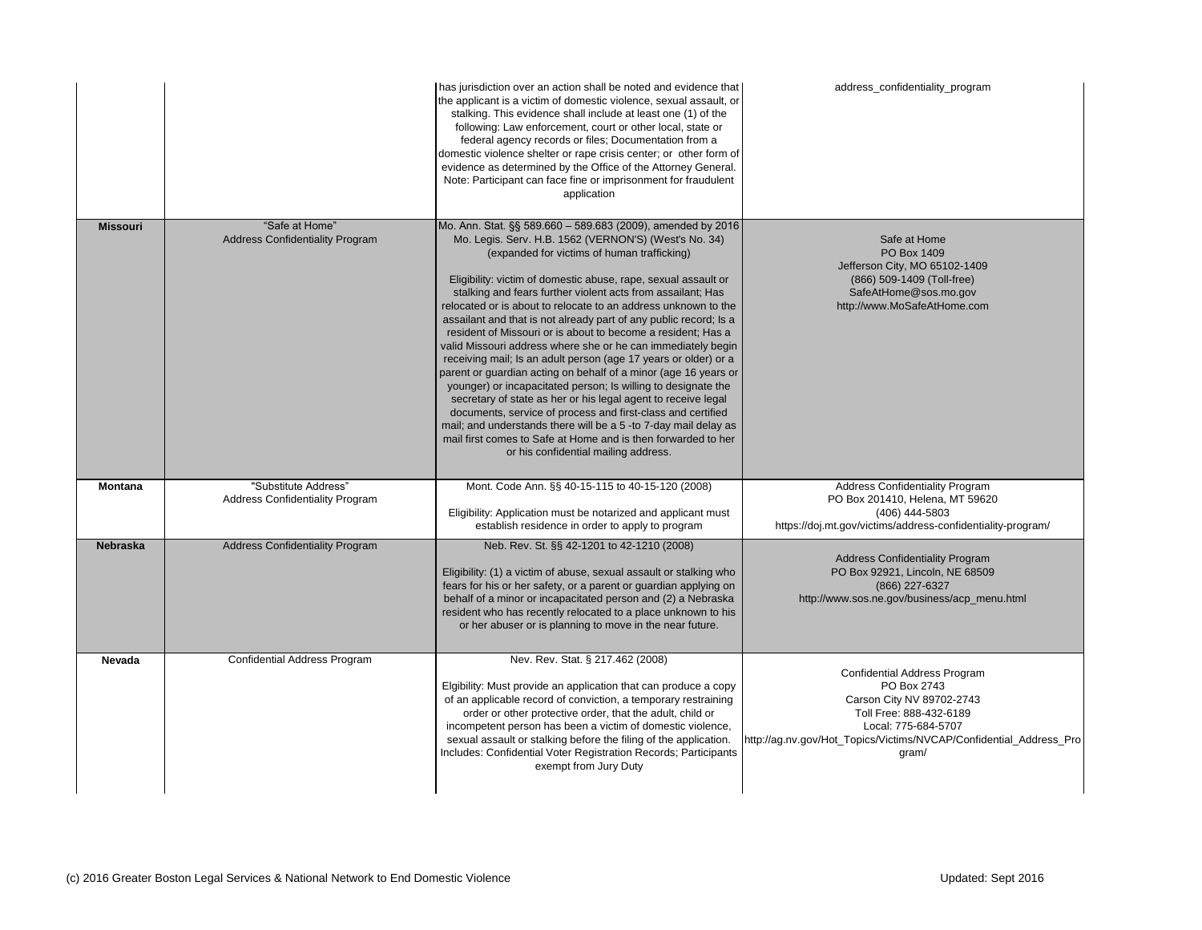Safe at Home PO Box 1409 on City, MO 65102-1409 (866) 509-1409 (Toll-free) AtHome@sos.mo.gov ww.MoSafeAtHome.com

s Confidentiality Program 201410, Helena, MT 59620 (406) 444-5803 ttims/address-confidentiality-program/

s Confidentiality Program 92921, Lincoln, NE 68509 (866) 227-6327 ne.gov/business/acp\_menu.html

dential Address Program PO Box 2743 on City NV 89702-2743 Free: 888-432-6189 Local: 775-684-5707 s/Victims/NVCAP/Confidential\_Address\_Pro gram/

|                 |                                                                | has jurisdiction over an action shall be noted and evidence that<br>the applicant is a victim of domestic violence, sexual assault, or<br>stalking. This evidence shall include at least one (1) of the<br>following: Law enforcement, court or other local, state or<br>federal agency records or files; Documentation from a<br>domestic violence shelter or rape crisis center; or other form of<br>evidence as determined by the Office of the Attorney General.<br>Note: Participant can face fine or imprisonment for fraudulent<br>application                                                                                                                                                                                                                                                                                                                                                                                                                                                                                                                                          | address                                                            |
|-----------------|----------------------------------------------------------------|------------------------------------------------------------------------------------------------------------------------------------------------------------------------------------------------------------------------------------------------------------------------------------------------------------------------------------------------------------------------------------------------------------------------------------------------------------------------------------------------------------------------------------------------------------------------------------------------------------------------------------------------------------------------------------------------------------------------------------------------------------------------------------------------------------------------------------------------------------------------------------------------------------------------------------------------------------------------------------------------------------------------------------------------------------------------------------------------|--------------------------------------------------------------------|
| <b>Missouri</b> | "Safe at Home"<br><b>Address Confidentiality Program</b>       | Mo. Ann. Stat. §§ 589.660 - 589.683 (2009), amended by 2016<br>Mo. Legis. Serv. H.B. 1562 (VERNON'S) (West's No. 34)<br>(expanded for victims of human trafficking)<br>Eligibility: victim of domestic abuse, rape, sexual assault or<br>stalking and fears further violent acts from assailant; Has<br>relocated or is about to relocate to an address unknown to the<br>assailant and that is not already part of any public record; Is a<br>resident of Missouri or is about to become a resident; Has a<br>valid Missouri address where she or he can immediately begin<br>receiving mail; Is an adult person (age 17 years or older) or a<br>parent or guardian acting on behalf of a minor (age 16 years or<br>younger) or incapacitated person; Is willing to designate the<br>secretary of state as her or his legal agent to receive legal<br>documents, service of process and first-class and certified<br>mail; and understands there will be a 5 -to 7-day mail delay as<br>mail first comes to Safe at Home and is then forwarded to her<br>or his confidential mailing address. | Jeffers<br>(866)<br>Safe<br>http://w                               |
| <b>Montana</b>  | "Substitute Address"<br><b>Address Confidentiality Program</b> | Mont. Code Ann. §§ 40-15-115 to 40-15-120 (2008)<br>Eligibility: Application must be notarized and applicant must<br>establish residence in order to apply to program                                                                                                                                                                                                                                                                                                                                                                                                                                                                                                                                                                                                                                                                                                                                                                                                                                                                                                                          | Address<br>PO Box 2<br>https://doj.mt.gov/vic                      |
| <b>Nebraska</b> | <b>Address Confidentiality Program</b>                         | Neb. Rev. St. §§ 42-1201 to 42-1210 (2008)<br>Eligibility: (1) a victim of abuse, sexual assault or stalking who<br>fears for his or her safety, or a parent or guardian applying on<br>behalf of a minor or incapacitated person and (2) a Nebraska<br>resident who has recently relocated to a place unknown to his<br>or her abuser or is planning to move in the near future.                                                                                                                                                                                                                                                                                                                                                                                                                                                                                                                                                                                                                                                                                                              | Address<br>PO Box 9<br>http://www.sos.                             |
| <b>Nevada</b>   | <b>Confidential Address Program</b>                            | Nev. Rev. Stat. § 217.462 (2008)<br>Elgibility: Must provide an application that can produce a copy<br>of an applicable record of conviction, a temporary restraining<br>order or other protective order, that the adult, child or<br>incompetent person has been a victim of domestic violence,<br>sexual assault or stalking before the filing of the application.<br>Includes: Confidential Voter Registration Records; Participants<br>exempt from Jury Duty                                                                                                                                                                                                                                                                                                                                                                                                                                                                                                                                                                                                                               | Confid<br>Carso<br>Toll<br><b>L</b><br>http://ag.nv.gov/Hot_Topics |

## s\_confidentiality\_program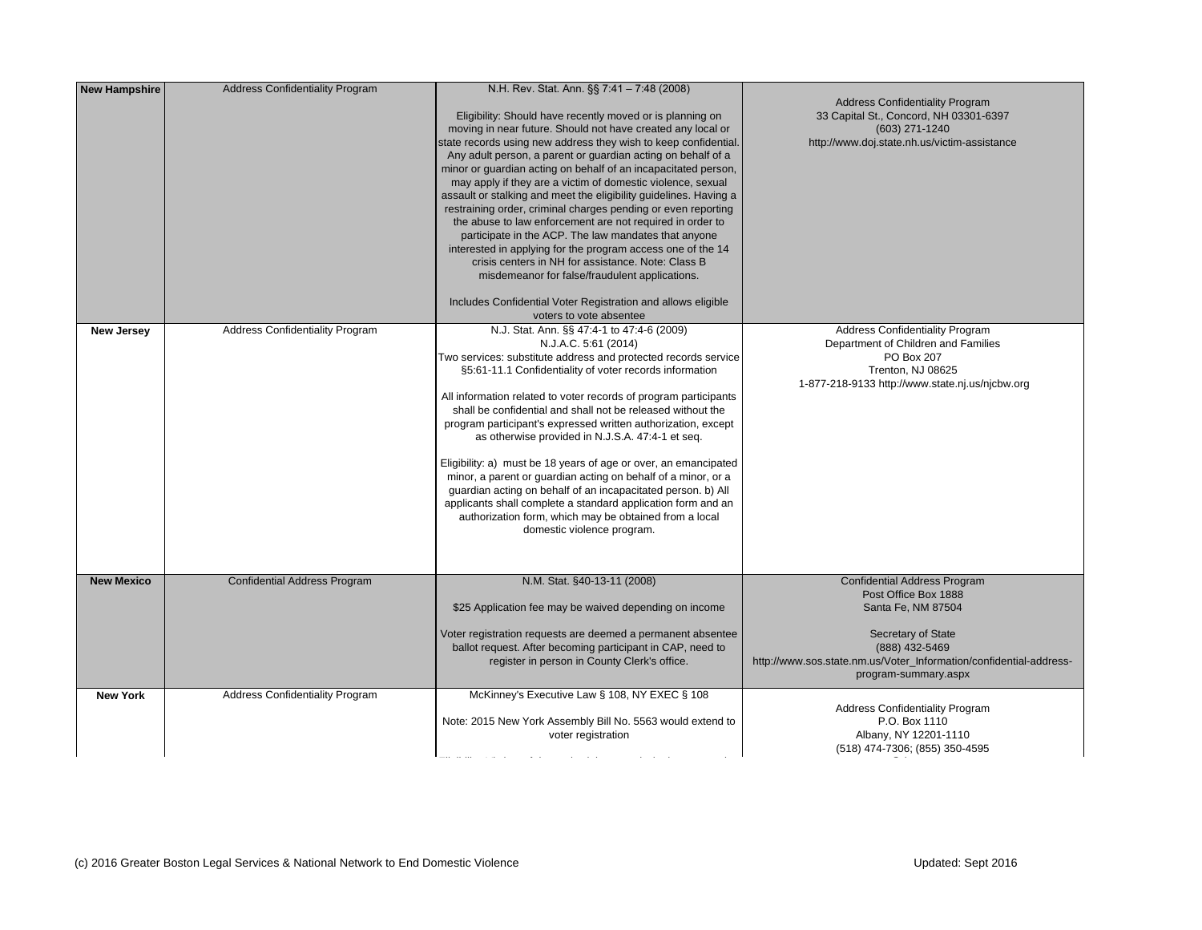| <b>New Hampshire</b> | <b>Address Confidentiality Program</b> | N.H. Rev. Stat. Ann. §§ 7:41 - 7:48 (2008)<br>Eligibility: Should have recently moved or is planning on<br>moving in near future. Should not have created any local or<br>state records using new address they wish to keep confidential.<br>Any adult person, a parent or guardian acting on behalf of a<br>minor or guardian acting on behalf of an incapacitated person,<br>may apply if they are a victim of domestic violence, sexual<br>assault or stalking and meet the eligibility guidelines. Having a<br>restraining order, criminal charges pending or even reporting<br>the abuse to law enforcement are not required in order to<br>participate in the ACP. The law mandates that anyone<br>interested in applying for the program access one of the 14<br>crisis centers in NH for assistance. Note: Class B<br>misdemeanor for false/fraudulent applications.<br>Includes Confidential Voter Registration and allows eligible<br>voters to vote absentee | Address<br>33 Capital S<br>http://www.do                                  |
|----------------------|----------------------------------------|-------------------------------------------------------------------------------------------------------------------------------------------------------------------------------------------------------------------------------------------------------------------------------------------------------------------------------------------------------------------------------------------------------------------------------------------------------------------------------------------------------------------------------------------------------------------------------------------------------------------------------------------------------------------------------------------------------------------------------------------------------------------------------------------------------------------------------------------------------------------------------------------------------------------------------------------------------------------------|---------------------------------------------------------------------------|
| <b>New Jersey</b>    | <b>Address Confidentiality Program</b> | N.J. Stat. Ann. §§ 47:4-1 to 47:4-6 (2009)<br>N.J.A.C. 5:61 (2014)<br>Two services: substitute address and protected records service<br>§5:61-11.1 Confidentiality of voter records information<br>All information related to voter records of program participants<br>shall be confidential and shall not be released without the<br>program participant's expressed written authorization, except<br>as otherwise provided in N.J.S.A. 47:4-1 et seq.<br>Eligibility: a) must be 18 years of age or over, an emancipated<br>minor, a parent or guardian acting on behalf of a minor, or a<br>guardian acting on behalf of an incapacitated person. b) All<br>applicants shall complete a standard application form and an<br>authorization form, which may be obtained from a local<br>domestic violence program.                                                                                                                                                     | Address<br>Departmer<br>1-877-218-9133                                    |
| <b>New Mexico</b>    | <b>Confidential Address Program</b>    | N.M. Stat. §40-13-11 (2008)<br>\$25 Application fee may be waived depending on income<br>Voter registration requests are deemed a permanent absentee<br>ballot request. After becoming participant in CAP, need to<br>register in person in County Clerk's office.                                                                                                                                                                                                                                                                                                                                                                                                                                                                                                                                                                                                                                                                                                      | <b>Confid</b><br>Po<br>S <sub>c</sub><br>http://www.sos.state.nm.u<br>pro |
| <b>New York</b>      | <b>Address Confidentiality Program</b> | McKinney's Executive Law § 108, NY EXEC § 108<br>Note: 2015 New York Assembly Bill No. 5563 would extend to<br>voter registration                                                                                                                                                                                                                                                                                                                                                                                                                                                                                                                                                                                                                                                                                                                                                                                                                                       | Address<br>Alba<br>$(518)$ 47                                             |

 $\mathbb{E}[\mathcal{E}(\mathcal{E})] = \mathbb{E}[\mathcal{E}(\mathcal{E})]$  or domestic violence and who have moved or have moved or  $\mathbb{E}[\mathcal{E}(\mathcal{E})]$ 

Gonfidentiality Program 3t., Concord, NH 03301-6397 (603) 271-1240 i.state.nh.us/victim-assistance ential Address Program ost Office Box 1888 anta Fe, NM 87504 Secretary of State (888) 432-5469 us/Voter\_Information/confidential-addressgram-summary.aspx Confidentiality Program P.O. Box 1110 any, NY 12201-1110 (518) 474-7306; (855) 350-4595 Gonfidentiality Program Int of Children and Families PO Box 207 Trenton, NJ 08625 3 http://www.state.nj.us/njcbw.org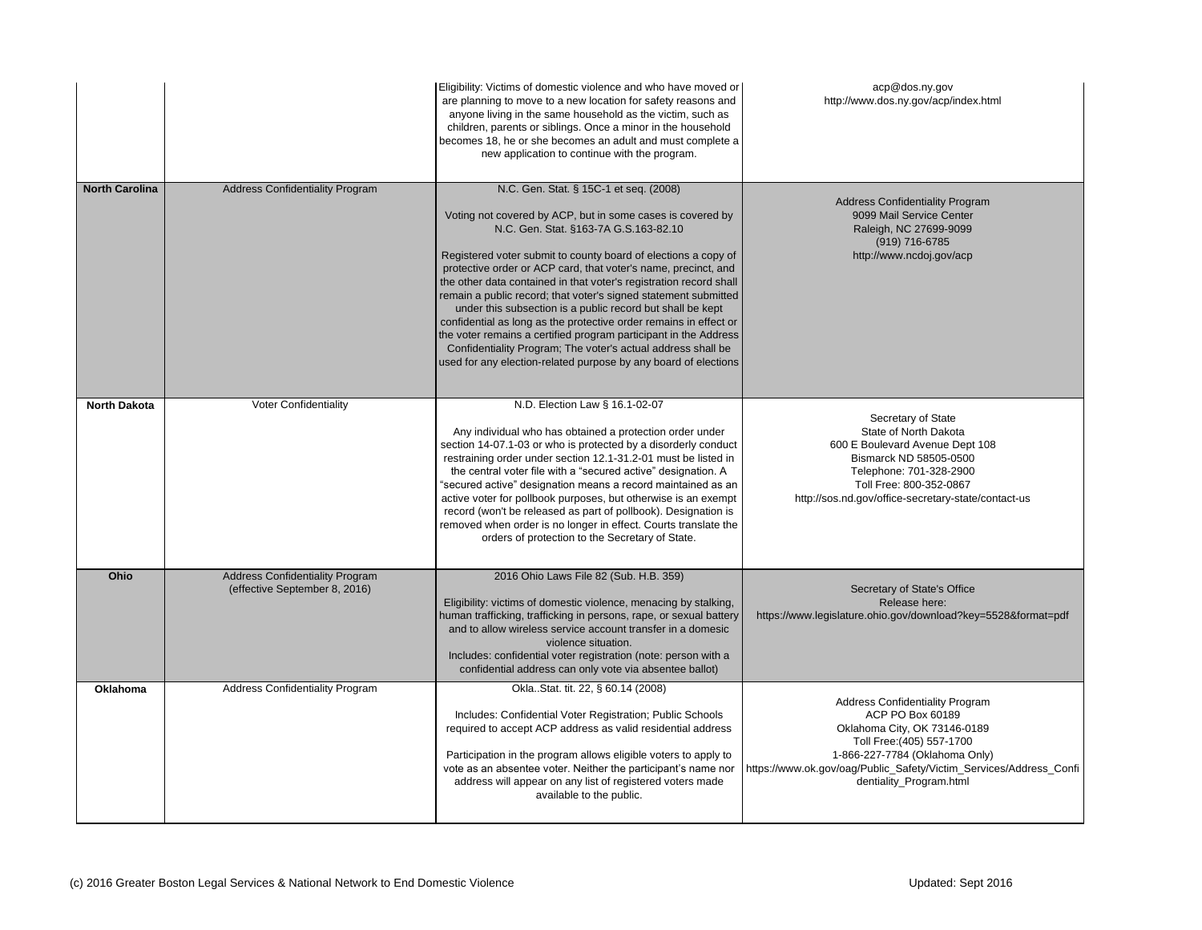Secretary of State tate of North Dakota oulevard Avenue Dept 108 narck ND 58505-0500 Telephone: 701-328-2900 Free: 800-352-0867 v/office-secretary-state/contact-us

etary of State's Office Release here: hio.gov/download?key=5528&format=pdf

s Confidentiality Program ACP PO Box 60189 ma City, OK 73146-0189 I Free:(405) 557-1700 27-7784 (Oklahoma Only) ublic\_Safety/Victim\_Services/Address\_Confi ntiality\_Program.html

|                       |                                                                         | Eligibility: Victims of domestic violence and who have moved or<br>are planning to move to a new location for safety reasons and<br>anyone living in the same household as the victim, such as<br>children, parents or siblings. Once a minor in the household<br>becomes 18, he or she becomes an adult and must complete a<br>new application to continue with the program.                                                                                                                                                                                                                                                                                                                                                                                        | http://www                                                                      |
|-----------------------|-------------------------------------------------------------------------|----------------------------------------------------------------------------------------------------------------------------------------------------------------------------------------------------------------------------------------------------------------------------------------------------------------------------------------------------------------------------------------------------------------------------------------------------------------------------------------------------------------------------------------------------------------------------------------------------------------------------------------------------------------------------------------------------------------------------------------------------------------------|---------------------------------------------------------------------------------|
| <b>North Carolina</b> | <b>Address Confidentiality Program</b>                                  | N.C. Gen. Stat. § 15C-1 et seq. (2008)<br>Voting not covered by ACP, but in some cases is covered by<br>N.C. Gen. Stat. §163-7A G.S.163-82.10<br>Registered voter submit to county board of elections a copy of<br>protective order or ACP card, that voter's name, precinct, and<br>the other data contained in that voter's registration record shall<br>remain a public record; that voter's signed statement submitted<br>under this subsection is a public record but shall be kept<br>confidential as long as the protective order remains in effect or<br>the voter remains a certified program participant in the Address<br>Confidentiality Program; The voter's actual address shall be<br>used for any election-related purpose by any board of elections | Address<br>9099<br>Rale<br>http:                                                |
| <b>North Dakota</b>   | <b>Voter Confidentiality</b>                                            | N.D. Election Law § 16.1-02-07<br>Any individual who has obtained a protection order under<br>section 14-07.1-03 or who is protected by a disorderly conduct<br>restraining order under section 12.1-31.2-01 must be listed in<br>the central voter file with a "secured active" designation. A<br>"secured active" designation means a record maintained as an<br>active voter for pollbook purposes, but otherwise is an exempt<br>record (won't be released as part of pollbook). Designation is<br>removed when order is no longer in effect. Courts translate the<br>orders of protection to the Secretary of State.                                                                                                                                            | <b>St</b><br>600 E Bo<br><b>Bism</b><br>Tele<br>Toll<br>http://sos.nd.gov       |
| <b>Ohio</b>           | <b>Address Confidentiality Program</b><br>(effective September 8, 2016) | 2016 Ohio Laws File 82 (Sub. H.B. 359)<br>Eligibility: victims of domestic violence, menacing by stalking,<br>human trafficking, trafficking in persons, rape, or sexual battery<br>and to allow wireless service account transfer in a domesic<br>violence situation.<br>Includes: confidential voter registration (note: person with a<br>confidential address can only vote via absentee ballot)                                                                                                                                                                                                                                                                                                                                                                  | Secr<br>https://www.legislature.o                                               |
| <b>Oklahoma</b>       | <b>Address Confidentiality Program</b>                                  | OklaStat. tit. 22, § 60.14 (2008)<br>Includes: Confidential Voter Registration; Public Schools<br>required to accept ACP address as valid residential address<br>Participation in the program allows eligible voters to apply to<br>vote as an absentee voter. Neither the participant's name nor<br>address will appear on any list of registered voters made<br>available to the public.                                                                                                                                                                                                                                                                                                                                                                           | Address<br>A<br>Oklahor<br>Toll<br>1-866-22<br>https://www.ok.gov/oag/Pu<br>der |

acp@dos.ny.gov  $v.dos.$ ny.gov/acp/index.html

s Confidentiality Program 9 Mail Service Center eigh, NC 27699-9099 (919) 716-6785 ://www.ncdoj.gov/acp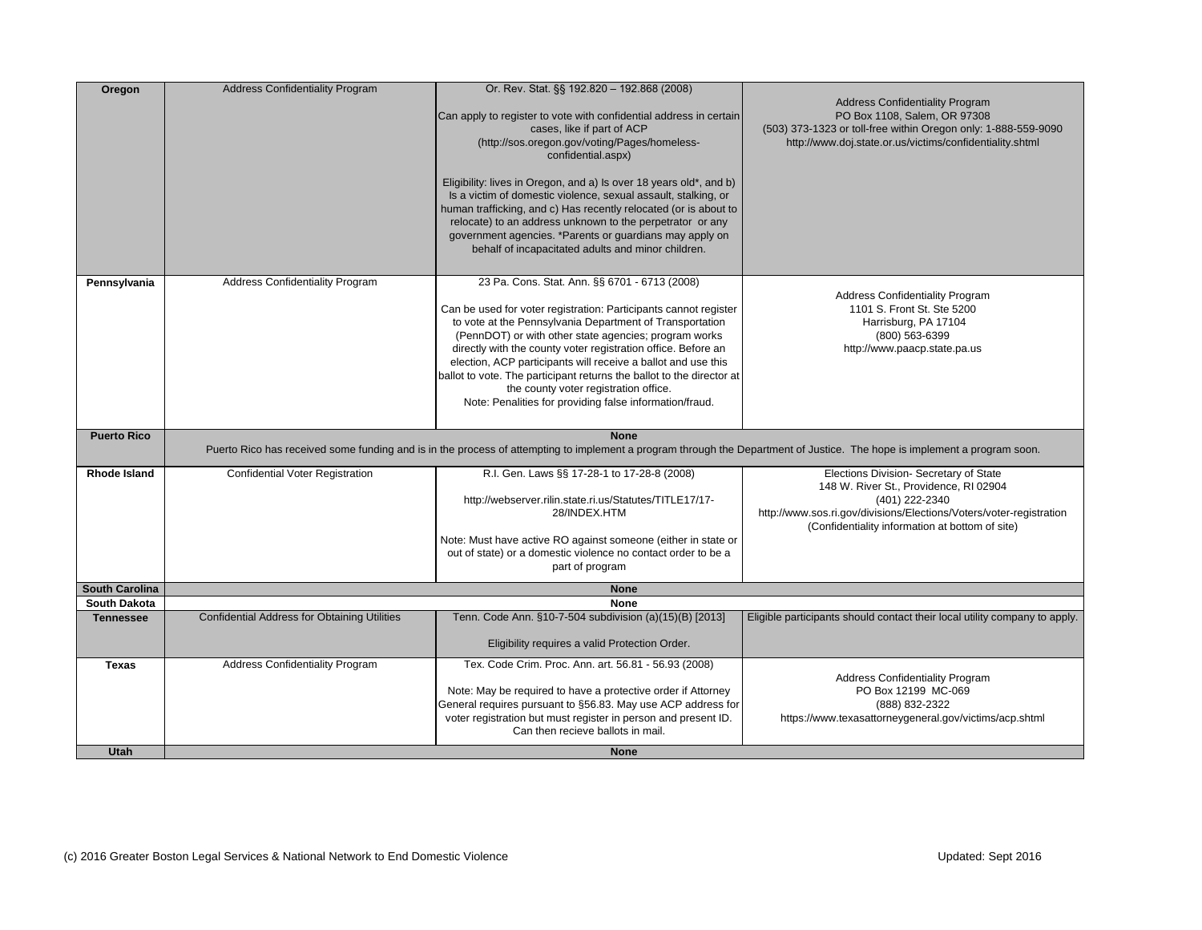|                       | <b>Address Confidentiality Program</b>              | Or. Rev. Stat. §§ 192.820 - 192.868 (2008)                                                                                                                                                                                                                                                                                                                                                                                                                                                                                                            |                                                                                                                                                                                                                         |
|-----------------------|-----------------------------------------------------|-------------------------------------------------------------------------------------------------------------------------------------------------------------------------------------------------------------------------------------------------------------------------------------------------------------------------------------------------------------------------------------------------------------------------------------------------------------------------------------------------------------------------------------------------------|-------------------------------------------------------------------------------------------------------------------------------------------------------------------------------------------------------------------------|
| <b>Oregon</b>         |                                                     | Can apply to register to vote with confidential address in certain<br>cases, like if part of ACP<br>(http://sos.oregon.gov/voting/Pages/homeless-<br>confidential.aspx)                                                                                                                                                                                                                                                                                                                                                                               | <b>Address Confidentiality Program</b><br>PO Box 1108, Salem, OR 97308<br>(503) 373-1323 or toll-free within Oregon only: 1-888-559-9<br>http://www.doj.state.or.us/victims/confidentiality.shtml                       |
|                       |                                                     | Eligibility: lives in Oregon, and a) Is over 18 years old*, and b)<br>Is a victim of domestic violence, sexual assault, stalking, or<br>human trafficking, and c) Has recently relocated (or is about to<br>relocate) to an address unknown to the perpetrator or any<br>government agencies. *Parents or guardians may apply on<br>behalf of incapacitated adults and minor children.                                                                                                                                                                |                                                                                                                                                                                                                         |
| Pennsylvania          | <b>Address Confidentiality Program</b>              | 23 Pa. Cons. Stat. Ann. §§ 6701 - 6713 (2008)<br>Can be used for voter registration: Participants cannot register<br>to vote at the Pennsylvania Department of Transportation<br>(PennDOT) or with other state agencies; program works<br>directly with the county voter registration office. Before an<br>election, ACP participants will receive a ballot and use this<br>ballot to vote. The participant returns the ballot to the director at<br>the county voter registration office.<br>Note: Penalities for providing false information/fraud. | <b>Address Confidentiality Program</b><br>1101 S. Front St. Ste 5200<br>Harrisburg, PA 17104<br>$(800)$ 563-6399<br>http://www.paacp.state.pa.us                                                                        |
| <b>Puerto Rico</b>    |                                                     | <b>None</b><br>Puerto Rico has received some funding and is in the process of attempting to implement a program through the Department of Justice. The hope is implement a program soon.                                                                                                                                                                                                                                                                                                                                                              |                                                                                                                                                                                                                         |
| <b>Rhode Island</b>   | <b>Confidential Voter Registration</b>              | R.I. Gen. Laws §§ 17-28-1 to 17-28-8 (2008)<br>http://webserver.rilin.state.ri.us/Statutes/TITLE17/17-<br>28/INDEX.HTM<br>Note: Must have active RO against someone (either in state or<br>out of state) or a domestic violence no contact order to be a<br>part of program                                                                                                                                                                                                                                                                           | Elections Division- Secretary of State<br>148 W. River St., Providence, RI 02904<br>(401) 222-2340<br>http://www.sos.ri.gov/divisions/Elections/Voters/voter-registi<br>(Confidentiality information at bottom of site) |
| <b>South Carolina</b> |                                                     | <b>None</b>                                                                                                                                                                                                                                                                                                                                                                                                                                                                                                                                           |                                                                                                                                                                                                                         |
| <b>South Dakota</b>   |                                                     | <b>None</b>                                                                                                                                                                                                                                                                                                                                                                                                                                                                                                                                           |                                                                                                                                                                                                                         |
| Tennessee             | <b>Confidential Address for Obtaining Utilities</b> | Tenn. Code Ann. §10-7-504 subdivision (a)(15)(B) [2013]<br>Eligibility requires a valid Protection Order.                                                                                                                                                                                                                                                                                                                                                                                                                                             | Eligible participants should contact their local utility company to                                                                                                                                                     |
| <b>Texas</b>          | <b>Address Confidentiality Program</b>              | Tex. Code Crim. Proc. Ann. art. 56.81 - 56.93 (2008)<br>Note: May be required to have a protective order if Attorney<br>General requires pursuant to §56.83. May use ACP address for<br>voter registration but must register in person and present ID.<br>Can then recieve ballots in mail.                                                                                                                                                                                                                                                           | <b>Address Confidentiality Program</b><br>PO Box 12199 MC-069<br>(888) 832-2322<br>https://www.texasattorneygeneral.gov/victims/acp.shtm                                                                                |
| <b>Utah</b>           |                                                     | <b>None</b>                                                                                                                                                                                                                                                                                                                                                                                                                                                                                                                                           |                                                                                                                                                                                                                         |

| <b>Address Confidentiality Program</b><br>PO Box 1108, Salem, OR 97308<br>(503) 373-1323 or toll-free within Oregon only: 1-888-559-9090<br>http://www.doj.state.or.us/victims/confidentiality.shtml                         |
|------------------------------------------------------------------------------------------------------------------------------------------------------------------------------------------------------------------------------|
|                                                                                                                                                                                                                              |
| <b>Address Confidentiality Program</b><br>1101 S. Front St. Ste 5200<br>Harrisburg, PA 17104<br>(800) 563-6399<br>http://www.paacp.state.pa.us                                                                               |
| epartment of Justice. The hope is implement a program soon.                                                                                                                                                                  |
| Elections Division- Secretary of State<br>148 W. River St., Providence, RI 02904<br>(401) 222-2340<br>http://www.sos.ri.gov/divisions/Elections/Voters/voter-registration<br>(Confidentiality information at bottom of site) |
|                                                                                                                                                                                                                              |
| Eligible participants should contact their local utility company to apply.                                                                                                                                                   |
| <b>Address Confidentiality Program</b><br>PO Box 12199 MC-069<br>(888) 832-2322<br>https://www.texasattorneygeneral.gov/victims/acp.shtml                                                                                    |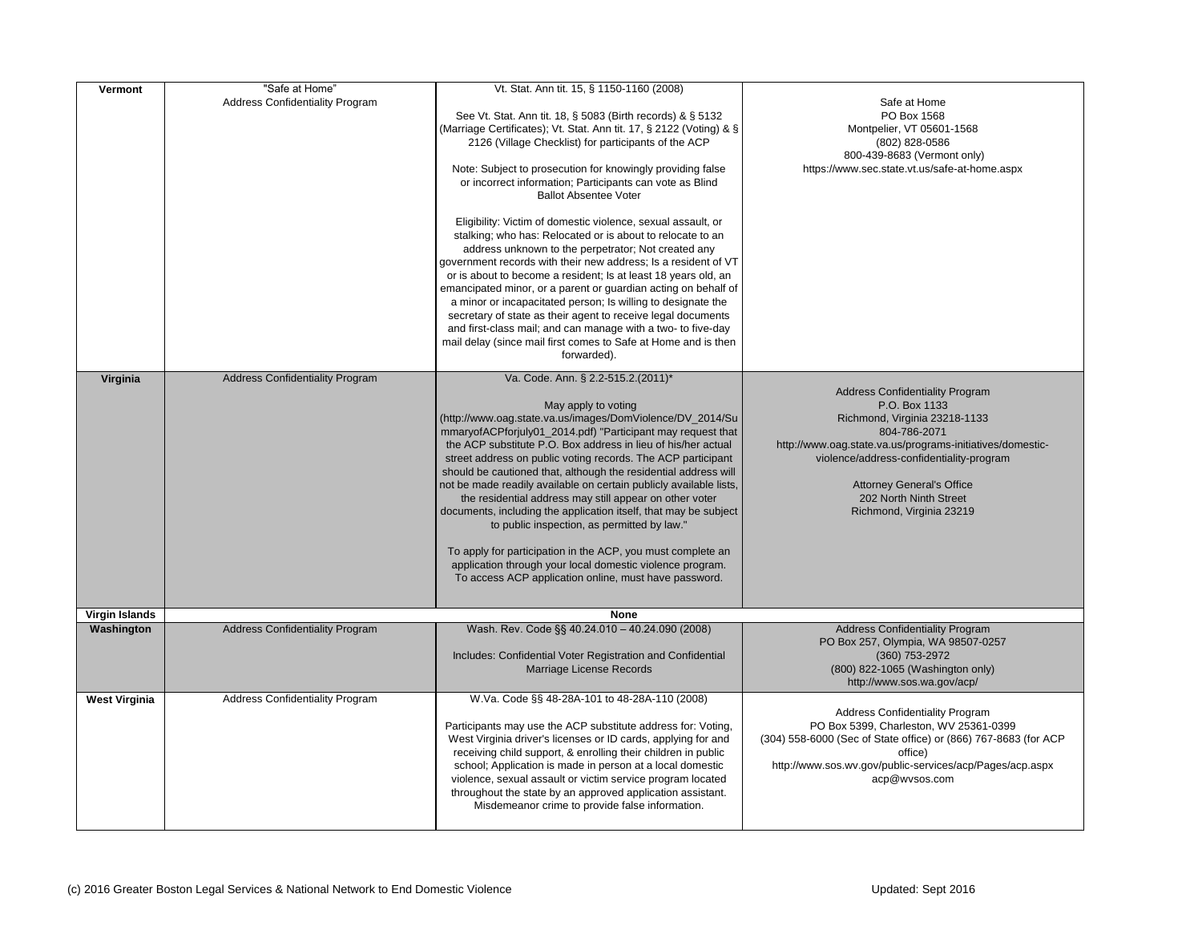| <b>Vermont</b><br>Virginia | "Safe at Home"<br><b>Address Confidentiality Program</b><br><b>Address Confidentiality Program</b> | Vt. Stat. Ann tit. 15, § 1150-1160 (2008)<br>See Vt. Stat. Ann tit. 18, § 5083 (Birth records) & § 5132<br>(Marriage Certificates); Vt. Stat. Ann tit. 17, § 2122 (Voting) & §<br>2126 (Village Checklist) for participants of the ACP<br>Note: Subject to prosecution for knowingly providing false<br>or incorrect information; Participants can vote as Blind<br><b>Ballot Absentee Voter</b><br>Eligibility: Victim of domestic violence, sexual assault, or<br>stalking; who has: Relocated or is about to relocate to an<br>address unknown to the perpetrator; Not created any<br>government records with their new address; Is a resident of VT<br>or is about to become a resident; Is at least 18 years old, an<br>emancipated minor, or a parent or guardian acting on behalf of<br>a minor or incapacitated person; Is willing to designate the<br>secretary of state as their agent to receive legal documents<br>and first-class mail; and can manage with a two- to five-day<br>mail delay (since mail first comes to Safe at Home and is then<br>forwarded).<br>Va. Code. Ann. § 2.2-515.2.(2011)* | Mont<br>800-43<br>https://www.se                                                         |
|----------------------------|----------------------------------------------------------------------------------------------------|--------------------------------------------------------------------------------------------------------------------------------------------------------------------------------------------------------------------------------------------------------------------------------------------------------------------------------------------------------------------------------------------------------------------------------------------------------------------------------------------------------------------------------------------------------------------------------------------------------------------------------------------------------------------------------------------------------------------------------------------------------------------------------------------------------------------------------------------------------------------------------------------------------------------------------------------------------------------------------------------------------------------------------------------------------------------------------------------------------------------|------------------------------------------------------------------------------------------|
|                            |                                                                                                    | May apply to voting<br>(http://www.oag.state.va.us/images/DomViolence/DV_2014/Su<br>mmaryofACPforjuly01_2014.pdf) "Participant may request that<br>the ACP substitute P.O. Box address in lieu of his/her actual<br>street address on public voting records. The ACP participant<br>should be cautioned that, although the residential address will<br>not be made readily available on certain publicly available lists,<br>the residential address may still appear on other voter<br>documents, including the application itself, that may be subject<br>to public inspection, as permitted by law."<br>To apply for participation in the ACP, you must complete an<br>application through your local domestic violence program.<br>To access ACP application online, must have password.                                                                                                                                                                                                                                                                                                                       | Address<br>Richmo<br>http://www.oag.state<br>violence/add<br>Attor<br>202<br><b>Rich</b> |
| <b>Virgin Islands</b>      |                                                                                                    | <b>None</b>                                                                                                                                                                                                                                                                                                                                                                                                                                                                                                                                                                                                                                                                                                                                                                                                                                                                                                                                                                                                                                                                                                        |                                                                                          |
| Washington                 | <b>Address Confidentiality Program</b>                                                             | Wash. Rev. Code §§ 40.24.010 - 40.24.090 (2008)<br>Includes: Confidential Voter Registration and Confidential<br>Marriage License Records                                                                                                                                                                                                                                                                                                                                                                                                                                                                                                                                                                                                                                                                                                                                                                                                                                                                                                                                                                          | Address<br><b>PO Box 257</b><br>(800) 822<br>http://                                     |
| <b>West Virginia</b>       | <b>Address Confidentiality Program</b>                                                             | W.Va. Code §§ 48-28A-101 to 48-28A-110 (2008)<br>Participants may use the ACP substitute address for: Voting,<br>West Virginia driver's licenses or ID cards, applying for and<br>receiving child support, & enrolling their children in public<br>school; Application is made in person at a local domestic<br>violence, sexual assault or victim service program located<br>throughout the state by an approved application assistant.<br>Misdemeanor crime to provide false information.                                                                                                                                                                                                                                                                                                                                                                                                                                                                                                                                                                                                                        | Address<br>PO Box 5399<br>(304) 558-6000 (Sec of<br>http://www.sos.wv.go                 |

Safe at Home PO Box 1568 pelier, VT 05601-1568 (802) 828-0586 39-8683 (Vermont only)  $Rc.\text{state.vt.us/safe-at-home.aspx}$ **Confidentiality Program** P.O. Box 1133 ond, Virginia 23218-1133 804-786-2071 .va.us/programs-initiatives/domesticdress-confidentiality-program rney General's Office 2 North Ninth Street mond, Virginia 23219 Gonfidentiality Program , Olympia, WA 98507-0257 (360) 753-2972 2-1065 (Washington only) /www.sos.wa.gov/acp/ **Confidentiality Program** P. Charleston, WV 25361-0399 State office) or (866) 767-8683 (for ACP office) v/public-services/acp/Pages/acp.aspx acp@wvsos.com